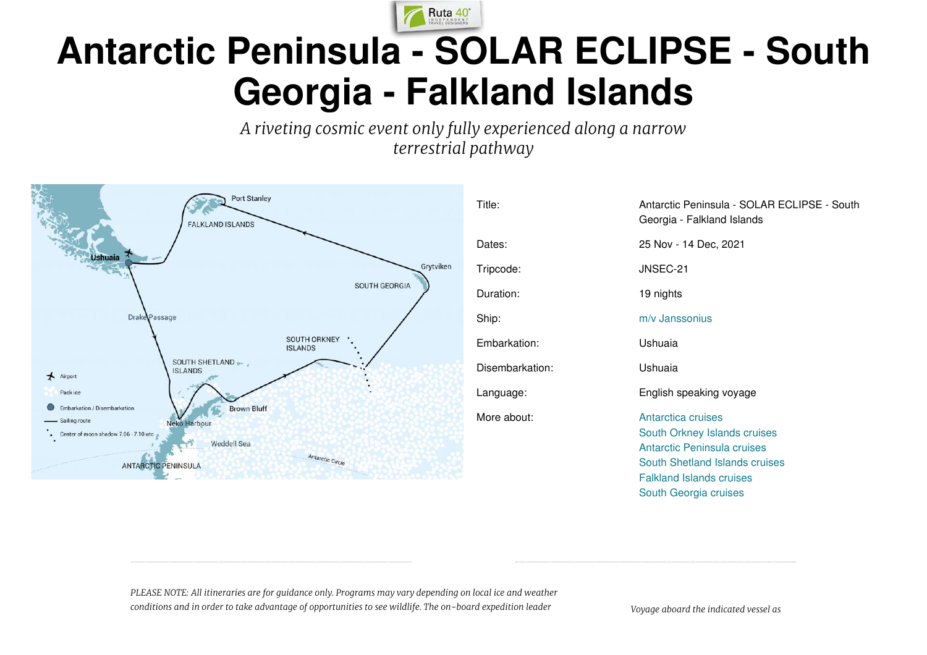

# **Antarctic Peninsula - SOLAR ECLIPSE - South Georgia - Falkland Islands**

*A riveting cosmic event only fully experienced along a narrow terrestrial pathway*



| Title:          | Antarctic Peninsula - SOLAR ECLIPSE - South<br>Georgia - Falkland Islands                                                                                                       |
|-----------------|---------------------------------------------------------------------------------------------------------------------------------------------------------------------------------|
| Dates:          | 25 Nov - 14 Dec, 2021                                                                                                                                                           |
| Tripcode:       | JNSEC-21                                                                                                                                                                        |
| Duration:       | 19 nights                                                                                                                                                                       |
| Ship:           | m/v Janssonius                                                                                                                                                                  |
| Embarkation:    | Ushuaia                                                                                                                                                                         |
| Disembarkation: | Ushuaia                                                                                                                                                                         |
| Language:       | English speaking voyage                                                                                                                                                         |
| More about:     | Antarctica cruises<br>South Orkney Islands cruises<br>Antarctic Peninsula cruises<br>South Shetland Islands cruises<br><b>Falkland Islands cruises</b><br>South Georgia cruises |

*PLEASE NOTE: All itineraries are for guidance only. Programs may vary depending on local ice and weather conditions and in order to take advantage of opportunities to see wildlife. The on-board expedition leader Voyage aboard the indicated vessel as*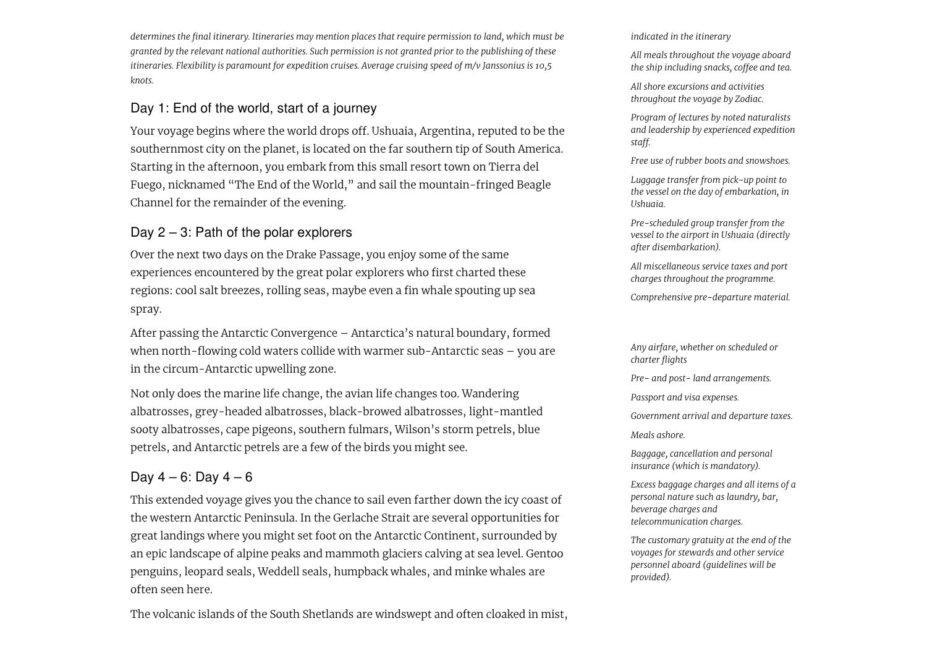*determines the final itinerary. Itineraries may mention places that require permission to land, which must be* granted by the relevant national authorities. Such permission is not granted prior to the publishing of these *itineraries. Flexibility is paramount for expedition cruises. Average cruising speed of m/v Janssonius is 10,5 knots.*

# Day 1: End of the world, start of a journey

Your voyage begins where the world drops off. Ushuaia, Argentina, reputed to be the southernmost city on the planet, is located on the far southern tip of South America. Starting in the afternoon, you embark from this small resort town on Tierra del Fuego, nicknamed "The End of the World," and sail the mountain-fringed Beagle Channel for the remainder of the evening.

# Day  $2 - 3$ : Path of the polar explorers

Over the next two days on the Drake Passage, you enjoy some of the same experiences encountered by the great polar explorers who first charted these regions: cool salt breezes, rolling seas, maybe even a fin whale spouting up sea spray.

After passing the Antarctic Convergence – Antarctica's natural boundary, formed when north-flowing cold waters collide with warmer sub-Antarctic seas – you are in the circum-Antarctic upwelling zone.

Not only does the marine life change, the avian life changes too. Wandering albatrosses, grey-headed albatrosses, black-browed albatrosses, light-mantled sooty albatrosses, cape pigeons, southern fulmars, Wilson's storm petrels, blue petrels, and Antarctic petrels are a few of the birds you might see.

# Day  $4 - 6$ : Day  $4 - 6$

This extended voyage gives you the chance to sail even farther down the icy coast of the western Antarctic Peninsula. In the Gerlache Strait are several opportunities for great landings where you might set foot on the Antarctic Continent, surrounded by an epic landscape of alpine peaks and mammoth glaciers calving at sea level. Gentoo penguins, leopard seals, Weddell seals, humpback whales, and minke whales are often seen here.

The volcanic islands of the South Shetlands are windswept and often cloaked in mist,

*indicated in the itinerary*

*All meals throughout the voyage aboard the ship including snacks, coffee and tea.*

*All shore excursions and activities throughout the voyage by Zodiac.*

*Program of lectures by noted naturalists and leadership by experienced expedition staff.*

*Free use of rubber boots and snowshoes.*

*Luggage transfer from pick-up point to the vessel on the day of embarkation, in Ushuaia.*

*Pre-scheduled group transfer from the vessel to the airport in Ushuaia (directly after disembarkation).*

*All miscellaneous service taxes and port charges throughout the programme.*

*Comprehensive pre-departure material.*

*Any airfare, whether on scheduled or charter flights*

*Pre- and post- land arrangements.*

*Passport and visa expenses.*

*Government arrival and departure taxes.*

*Meals ashore.*

*Baggage, cancellation and personal insurance (which is mandatory).*

*Excess baggage charges and all items of a personal nature such as laundry, bar, beverage charges and telecommunication charges.*

*The customary gratuity at the end of the voyages for stewards and other service personnel aboard (guidelines will be provided).*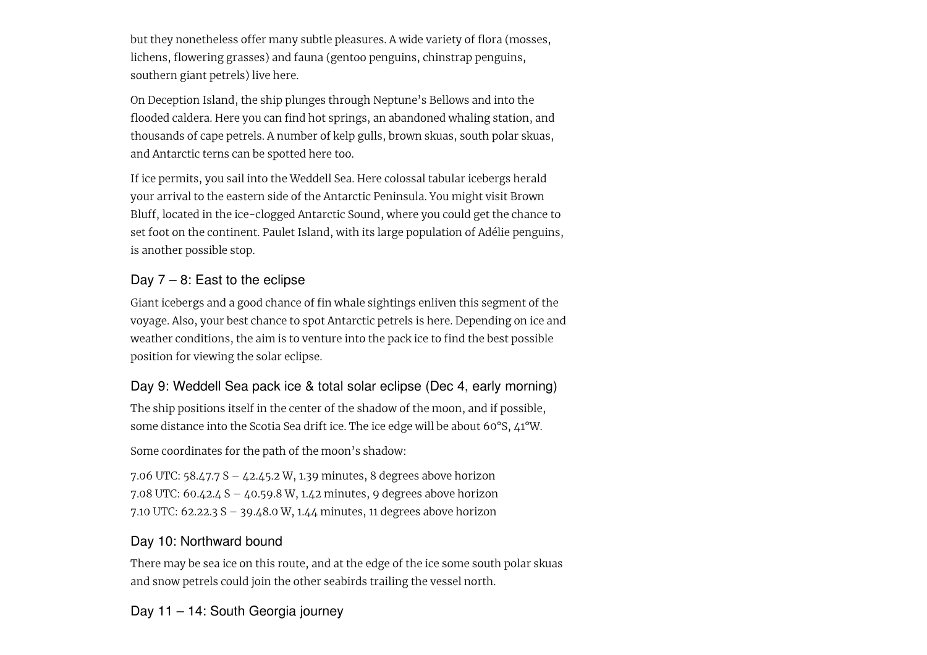but they nonetheless offer many subtle pleasures. A wide variety of flora (mosses, lichens, flowering grasses) and fauna (gentoo penguins, chinstrap penguins, southern giant petrels) live here.

On Deception Island, the ship plunges through Neptune's Bellows and into the flooded caldera. Here you can find hot springs, an abandoned whaling station, and thousands of cape petrels. A number of kelp gulls, brown skuas, south polar skuas, and Antarctic terns can be spotted here too.

If ice permits, you sail into the Weddell Sea. Here colossal tabular icebergs herald your arrival to the eastern side of the Antarctic Peninsula. You might visit Brown Bluff, located in the ice-clogged Antarctic Sound, where you could get the chance to set foot on the continent. Paulet Island, with its large population of Adélie penguins, is another possible stop.

# Day  $7 - 8$ : East to the eclipse

Giant icebergs and a good chance of fin whale sightings enliven this segment of the voyage. Also, your best chance to spot Antarctic petrels is here. Depending on ice and weather conditions, the aim is to venture into the pack ice to find the best possible position for viewing the solar eclipse.

# Day 9: Weddell Sea pack ice & total solar eclipse (Dec 4, early morning)

The ship positions itself in the center of the shadow of the moon, and if possible, some distance into the Scotia Sea drift ice. The ice edge will be about 60°S, 41°W.

Some coordinates for the path of the moon's shadow:

7.06 UTC: 58.47.7 S – 42.45.2 W, 1.39 minutes, 8 degrees above horizon 7.08 UTC: 60.42.4 S – 40.59.8 W, 1.42 minutes, 9 degrees above horizon 7.10 UTC: 62.22.3 S – 39.48.0 W, 1.44 minutes, 11 degrees above horizon

# Day 10: Northward bound

There may be sea ice on this route, and at the edge of the ice some south polar skuas and snow petrels could join the other seabirds trailing the vessel north.

Day 11 – 14: South Georgia journey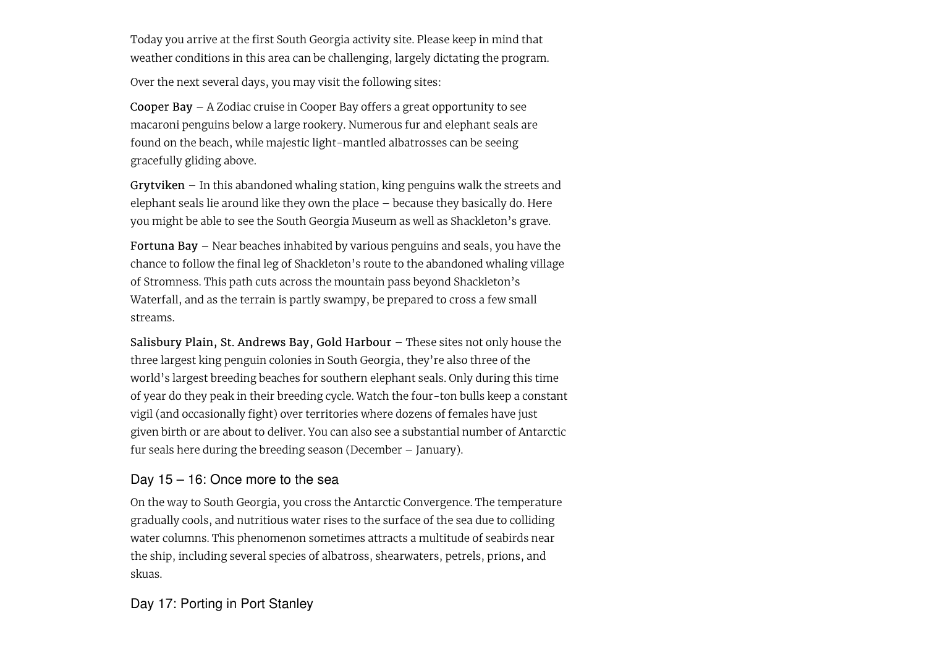Today you arrive at the first South Georgia activity site. Please keep in mind that weather conditions in this area can be challenging, largely dictating the program.

Over the next several days, you may visit the following sites:

Cooper Bay – A Zodiac cruise in Cooper Bay offers a great opportunity to see macaroni penguins below a large rookery. Numerous fur and elephant seals are found on the beach, while majestic light-mantled albatrosses can be seeing gracefully gliding above.

Grytviken – In this abandoned whaling station, king penguins walk the streets and elephant seals lie around like they own the place – because they basically do. Here you might be able to see the South Georgia Museum as well as Shackleton's grave.

Fortuna Bay – Near beaches inhabited by various penguins and seals, you have the chance to follow the final leg of Shackleton's route to the abandoned whaling village of Stromness. This path cuts across the mountain pass beyond Shackleton's Waterfall, and as the terrain is partly swampy, be prepared to cross a few small streams.

Salisbury Plain, St. Andrews Bay, Gold Harbour – These sites not only house the three largest king penguin colonies in South Georgia, they're also three of the world's largest breeding beaches for southern elephant seals. Only during this time of year do they peak in their breeding cycle. Watch the four-ton bulls keep a constant vigil (and occasionally fight) over territories where dozens of females have just given birth or are about to deliver. You can also see a substantial number of Antarctic fur seals here during the breeding season (December – January).

# Day 15 – 16: Once more to the sea

On the way to South Georgia, you cross the Antarctic Convergence. The temperature gradually cools, and nutritious water rises to the surface of the sea due to colliding water columns. This phenomenon sometimes attracts a multitude of seabirds near the ship, including several species of albatross, shearwaters, petrels, prions, and skuas.

Day 17: Porting in Port Stanley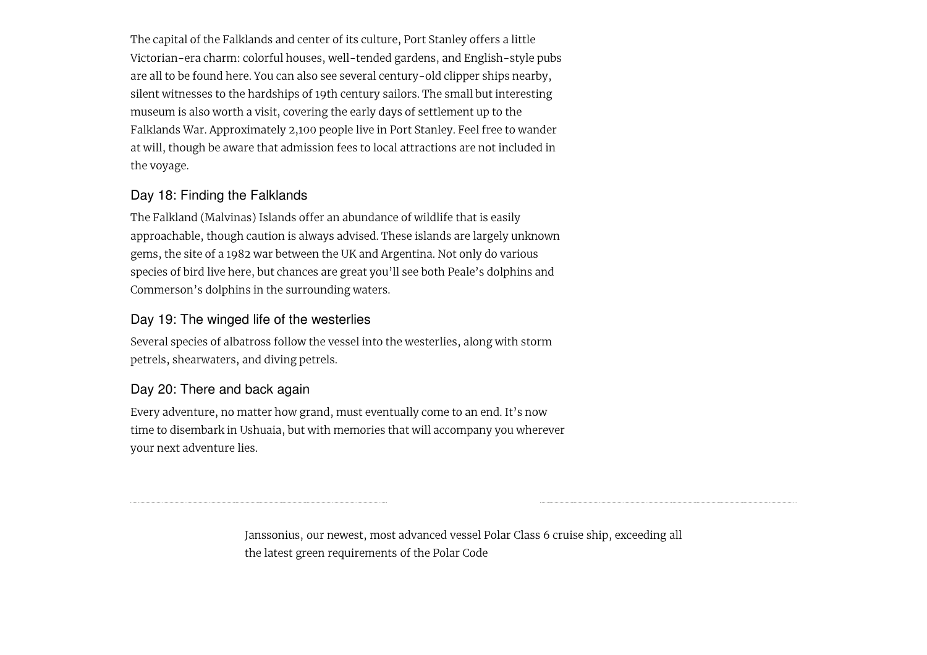The capital of the Falklands and center of its culture, Port Stanley offers a little Victorian-era charm: colorful houses, well-tended gardens, and English-style pubs are all to be found here. You can also see several century-old clipper ships nearby, silent witnesses to the hardships of 19th century sailors. The small but interesting museum is also worth a visit, covering the early days of settlement up to the Falklands War. Approximately 2,100 people live in Port Stanley. Feel free to wander at will, though be aware that admission fees to local attractions are not included in the voyage.

# Day 18: Finding the Falklands

The Falkland (Malvinas) Islands offer an abundance of wildlife that is easily approachable, though caution is always advised. These islands are largely unknown gems, the site of a 1982 war between the UK and Argentina. Not only do various species of bird live here, but chances are great you'll see both Peale's dolphins and Commerson's dolphins in the surrounding waters.

# Day 19: The winged life of the westerlies

Several species of albatross follow the vessel into the westerlies, along with storm petrels, shearwaters, and diving petrels.

# Day 20: There and back again

Every adventure, no matter how grand, must eventually come to an end. It's now time to disembark in Ushuaia, but with memories that will accompany you wherever your next adventure lies.

> Janssonius, our newest, most advanced vessel Polar Class 6 cruise ship, exceeding all the latest green requirements of the Polar Code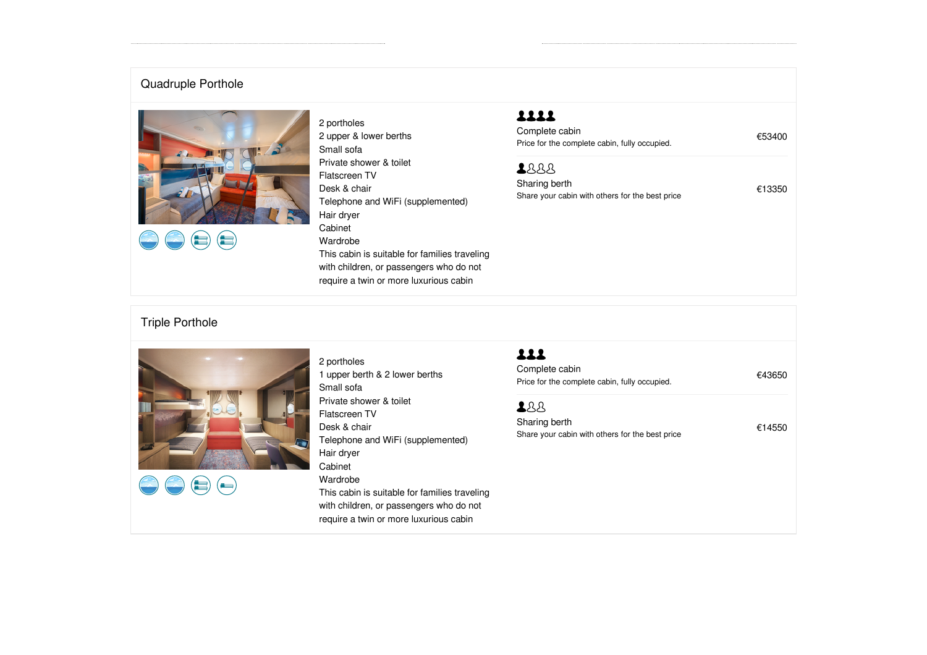# Quadruple Porthole





2 portholes 2 upper & lower berths Small sofa Private shower & toilet Flatscreen TV Desk & chair Telephone and WiFi (supplemented) Hair dryer Cabinet Wardrobe This cabin is suitable for families traveling with children, or passengers who do not require a twin or more luxurious cabin

# 1111

Complete cabin<br>
Price for the complete cabin, fully occupied. €53400

## 2888

| Sharing berth                                   | €13350 |  |
|-------------------------------------------------|--------|--|
| Share your cabin with others for the best price |        |  |

# Triple Porthole



 $\left( \begin{matrix} \begin{matrix} \begin{matrix} 1 \end{matrix} \\ \begin{matrix} 2 \end{matrix} \\ \end{matrix} \end{matrix} \right)$ 



# 111

Complete cabin<br>
Price for the complete cabin, fully occupied. €43650

### 288

Sharing berth  $f$ 14550 Share your cabin with others for the best price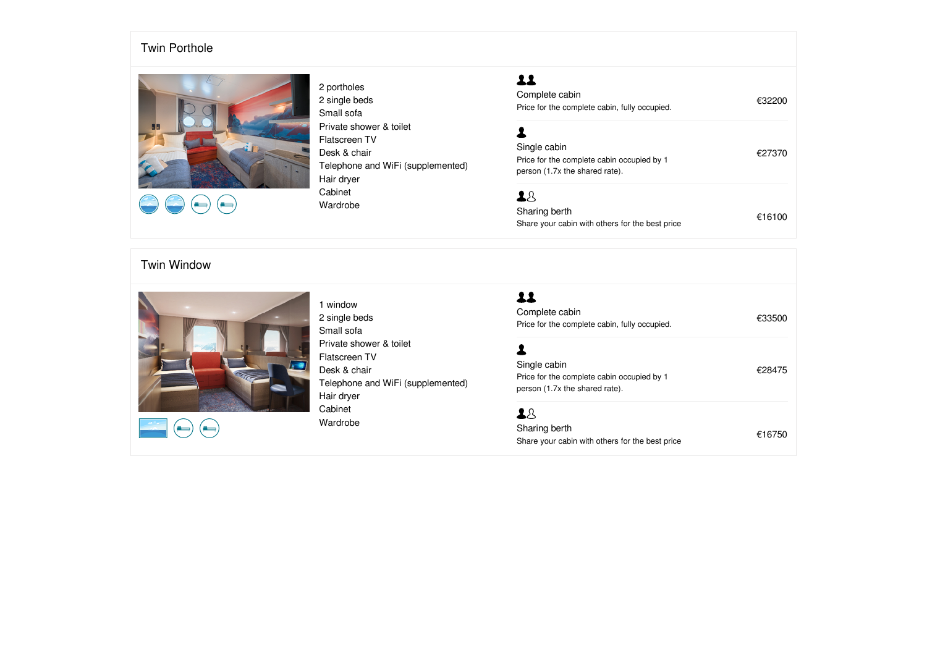### T win Porthole



2 portholes 2 single beds Small sofa Private shower & toilet Flatscreen TV Desk & chair Telephone and WiFi (supplemented) Hair dryer Cabinet 2 single beds<br>
Small sofa<br>
Small sofa<br>
Private shower & toilet<br>
Flatscreen TV<br>
Desk & chair<br>
Telephone and WiFi (supplemented)<br>
Hair dryer<br>
Cabinet<br>
Cabinet<br>
Cabinet<br>
Cabinet<br>
Cabinet<br>
Cabinet<br>
Cabinet<br>
Cabinet<br>
Cabinet<br>

# $22$

### Twin Window



1 window 2 single beds Small sofa Private shower & toilet Flatscreen TV Desk & chair Telephone and WiFi (supplemented) Hair dryer Cabinet 2 single beds<br>
Small sofa<br>
Small sofa<br>
Private shower & toilet<br>
Flatscreen TV<br>
Desk & chair<br>
Telephone and WiFi (supplemented)<br>
Hair dryer<br>
Cabinet<br>
Cabinet<br>
Cabinet<br>
Cabinet<br>
Cabinet<br>
Cabinet<br>
Cabinet<br>
Sharing berth<br>
Sha

# $22$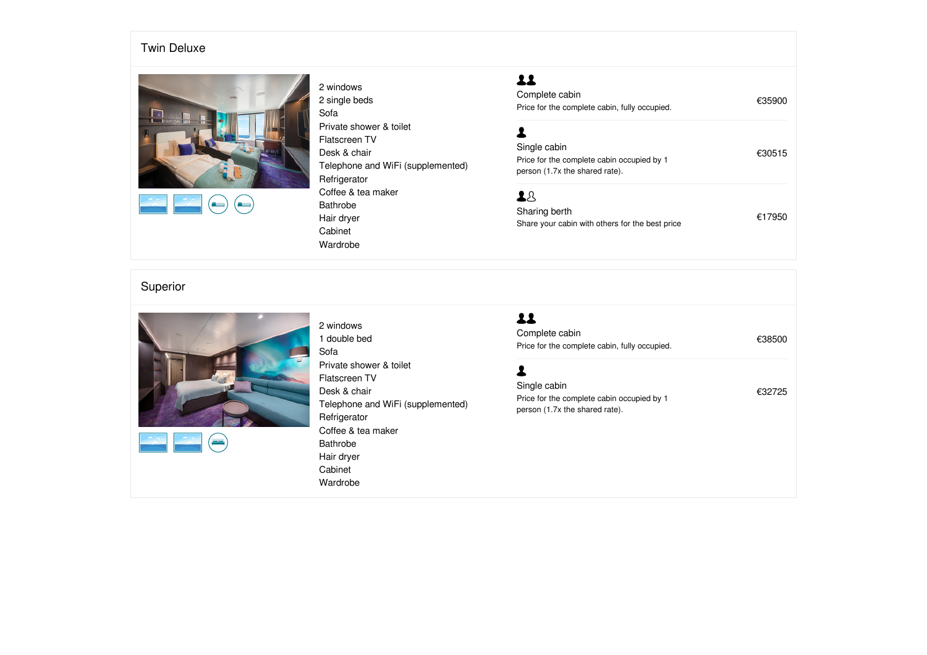### T win Deluxe



 $\overline{\phantom{a}}$ د)

### 2 windows 2 single beds Sofa Private shower & toilet Flatscreen TV Desk & chair Telephone and WiFi (supplemented) **Refrigerator** Coffee & tea maker Bathrobe Hair dryer Cabinet 2 single beds<br>
Sofa<br>
Sofa<br>
Private shower & toilet<br>
Flatscreen TV<br>
Desk & chair<br>
Telephone and WiFi (supplemented)<br>
Fries for the complete cabin, fully occupied.<br>
Single cabin<br>
Price for the complete cabin occupied by 1<br>

# $22$

# Superior



÷

### 2 windows 1 double bed Sofa Private shower & toilet Flatscreen TV Desk & chair Telephone and WiFi (supplemented) Refrigerator Coffee & tea maker Bathrobe Hair dryer Cabinet 1 double bed<br>
Sofa<br>
Sofa<br>
Private shower & toilet<br>
Private shower & toilet<br>
Flatscreen TV<br>
Desk & chair<br>
Desk & chair<br>
Telephone and WiFi (supplemented)<br>
Price for the complete cabin occupied by 1<br>
Price for the complete

# $22$